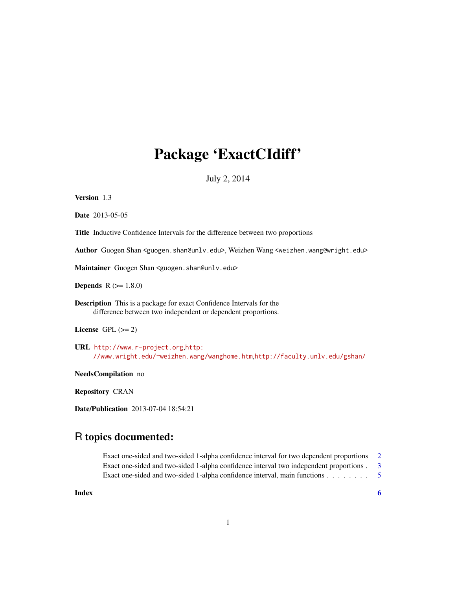## Package 'ExactCIdiff'

July 2, 2014

Version 1.3

Date 2013-05-05

Title Inductive Confidence Intervals for the difference between two proportions

Author Guogen Shan <guogen.shan@unlv.edu>, Weizhen Wang <weizhen.wang@wright.edu>

Maintainer Guogen Shan <guogen.shan@unlv.edu>

**Depends**  $R (= 1.8.0)$ 

Description This is a package for exact Confidence Intervals for the difference between two independent or dependent proportions.

License GPL  $(>= 2)$ 

URL <http://www.r-project.org>,[http:](http://www.wright.edu/~weizhen.wang/wanghome.htm) [//www.wright.edu/~weizhen.wang/wanghome.htm](http://www.wright.edu/~weizhen.wang/wanghome.htm),<http://faculty.unlv.edu/gshan/>

NeedsCompilation no

Repository CRAN

Date/Publication 2013-07-04 18:54:21

### R topics documented:

Exact one-sided and two-sided 1-alpha confidence interval for two dependent proportions [2](#page-1-0) Exact one-sided and two-sided 1-alpha confidence interval two independent proportions . [3](#page-2-0) Exact one-sided and two-sided 1-alpha confidence interval, main functions . . . . . . . . . . . . . . . . . . [5](#page-4-0)

**Index** [6](#page-5-0) **6**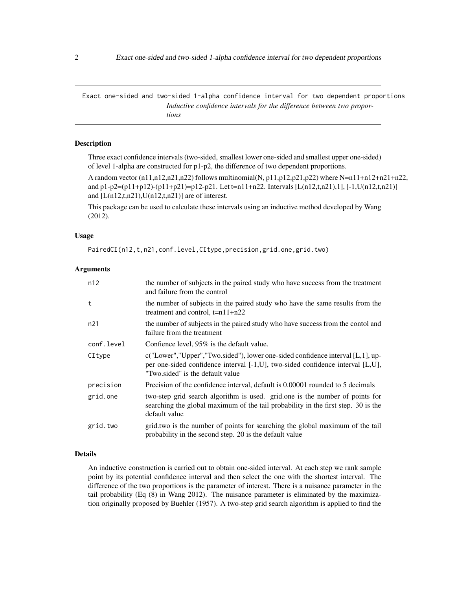<span id="page-1-0"></span>Exact one-sided and two-sided 1-alpha confidence interval for two dependent proportions *Inductive confidence intervals for the difference between two proportions*

#### Description

Three exact confidence intervals (two-sided, smallest lower one-sided and smallest upper one-sided) of level 1-alpha are constructed for p1-p2, the difference of two dependent proportions.

A random vector  $(n11, n12, n21, n22)$  follows multinomial(N, p11,p12,p21,p22) where N=n11+n12+n21+n22, and p1-p2=(p11+p12)-(p11+p21)=p12-p21. Let t=n11+n22. Intervals [L(n12,t,n21),1], [-1,U(n12,t,n21)] and  $[L(n12,t,n21),U(n12,t,n21)]$  are of interest.

This package can be used to calculate these intervals using an inductive method developed by Wang (2012).

#### Usage

PairedCI(n12,t,n21,conf.level,CItype,precision,grid.one,grid.two)

#### Arguments

| n12        | the number of subjects in the paired study who have success from the treatment<br>and failure from the control                                                                                       |
|------------|------------------------------------------------------------------------------------------------------------------------------------------------------------------------------------------------------|
| t          | the number of subjects in the paired study who have the same results from the<br>treatment and control, $t=n11+n22$                                                                                  |
| n21        | the number of subjects in the paired study who have success from the contol and<br>failure from the treatment                                                                                        |
| conf.level | Confience level, 95% is the default value.                                                                                                                                                           |
| CItype     | c("Lower","Upper","Two.sided"), lower one-sided confidence interval [L,1], up-<br>per one-sided confidence interval [-1,U], two-sided confidence interval [L,U],<br>"Two sided" is the default value |
| precision  | Precision of the confidence interval, default is 0.00001 rounded to 5 decimals                                                                                                                       |
| grid.one   | two-step grid search algorithm is used. grid.one is the number of points for<br>searching the global maximum of the tail probability in the first step. 30 is the<br>default value                   |
| grid.two   | grid two is the number of points for searching the global maximum of the tail<br>probability in the second step. 20 is the default value                                                             |

#### Details

An inductive construction is carried out to obtain one-sided interval. At each step we rank sample point by its potential confidence interval and then select the one with the shortest interval. The difference of the two proportions is the parameter of interest. There is a nuisance parameter in the tail probability (Eq (8) in Wang 2012). The nuisance parameter is eliminated by the maximization originally proposed by Buehler (1957). A two-step grid search algorithm is applied to find the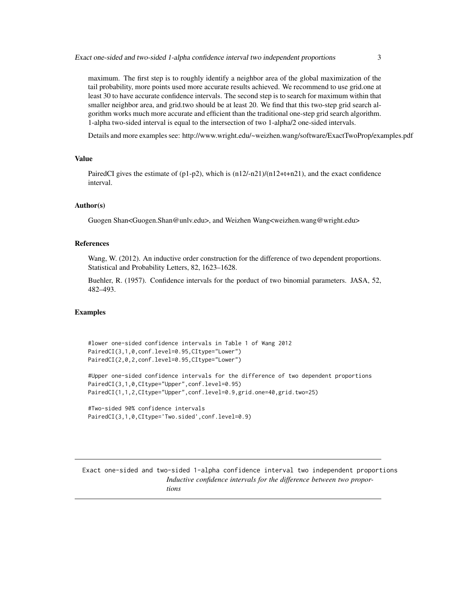<span id="page-2-0"></span>maximum. The first step is to roughly identify a neighbor area of the global maximization of the tail probability, more points used more accurate results achieved. We recommend to use grid.one at least 30 to have accurate confidence intervals. The second step is to search for maximum within that smaller neighbor area, and grid.two should be at least 20. We find that this two-step grid search algorithm works much more accurate and efficient than the traditional one-step grid search algorithm. 1-alpha two-sided interval is equal to the intersection of two 1-alpha/2 one-sided intervals.

Details and more examples see: http://www.wright.edu/~weizhen.wang/software/ExactTwoProp/examples.pdf

#### Value

PairedCI gives the estimate of (p1-p2), which is  $(n12/-n21)/(n12+t+n21)$ , and the exact confidence interval.

#### Author(s)

Guogen Shan<Guogen.Shan@unlv.edu>, and Weizhen Wang<weizhen.wang@wright.edu>

#### References

Wang, W. (2012). An inductive order construction for the difference of two dependent proportions. Statistical and Probability Letters, 82, 1623–1628.

Buehler, R. (1957). Confidence intervals for the porduct of two binomial parameters. JASA, 52, 482–493.

#### Examples

```
#lower one-sided confidence intervals in Table 1 of Wang 2012
PairedCI(3,1,0,conf.level=0.95,CItype="Lower")
PairedCI(2,0,2,conf.level=0.95,CItype="Lower")
```
#Upper one-sided confidence intervals for the difference of two dependent proportions PairedCI(3,1,0,CItype="Upper",conf.level=0.95) PairedCI(1,1,2,CItype="Upper",conf.level=0.9,grid.one=40,grid.two=25)

```
#Two-sided 90% confidence intervals
PairedCI(3,1,0,CItype='Two.sided',conf.level=0.9)
```
Exact one-sided and two-sided 1-alpha confidence interval two independent proportions *Inductive confidence intervals for the difference between two proportions*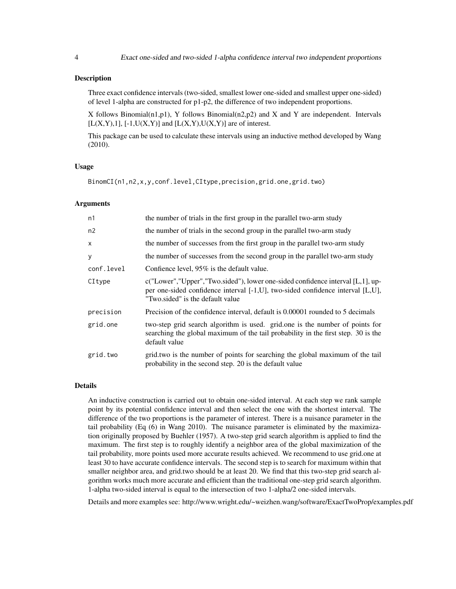#### Description

Three exact confidence intervals (two-sided, smallest lower one-sided and smallest upper one-sided) of level 1-alpha are constructed for p1-p2, the difference of two independent proportions.

X follows Binomial(n1,p1), Y follows Binomial(n2,p2) and X and Y are independent. Intervals  $[L(X, Y), 1], [-1, U(X, Y)]$  and  $[L(X, Y), U(X, Y)]$  are of interest.

This package can be used to calculate these intervals using an inductive method developed by Wang (2010).

#### Usage

BinomCI(n1,n2,x,y,conf.level,CItype,precision,grid.one,grid.two)

#### Arguments

| n1         | the number of trials in the first group in the parallel two-arm study                                                                                                                                             |
|------------|-------------------------------------------------------------------------------------------------------------------------------------------------------------------------------------------------------------------|
| n2         | the number of trials in the second group in the parallel two-arm study                                                                                                                                            |
| X          | the number of successes from the first group in the parallel two-arm study                                                                                                                                        |
| y          | the number of successes from the second group in the parallel two-arm study                                                                                                                                       |
| conf.level | Confience level, 95% is the default value.                                                                                                                                                                        |
| CItype     | $c("Lower", "Upper", "Two-sided"), lower one-sided confidence interval [L, 1], up-$<br>per one-sided confidence interval $[-1, U]$ , two-sided confidence interval $[L, U]$ ,<br>"Two.sided" is the default value |
| precision  | Precision of the confidence interval, default is 0.00001 rounded to 5 decimals                                                                                                                                    |
| grid.one   | two-step grid search algorithm is used. grid.one is the number of points for<br>searching the global maximum of the tail probability in the first step. 30 is the<br>default value                                |
| grid.two   | grid.two is the number of points for searching the global maximum of the tail<br>probability in the second step. 20 is the default value                                                                          |

#### Details

An inductive construction is carried out to obtain one-sided interval. At each step we rank sample point by its potential confidence interval and then select the one with the shortest interval. The difference of the two proportions is the parameter of interest. There is a nuisance parameter in the tail probability (Eq (6) in Wang 2010). The nuisance parameter is eliminated by the maximization originally proposed by Buehler (1957). A two-step grid search algorithm is applied to find the maximum. The first step is to roughly identify a neighbor area of the global maximization of the tail probability, more points used more accurate results achieved. We recommend to use grid.one at least 30 to have accurate confidence intervals. The second step is to search for maximum within that smaller neighbor area, and grid.two should be at least 20. We find that this two-step grid search algorithm works much more accurate and efficient than the traditional one-step grid search algorithm. 1-alpha two-sided interval is equal to the intersection of two 1-alpha/2 one-sided intervals.

Details and more examples see: http://www.wright.edu/~weizhen.wang/software/ExactTwoProp/examples.pdf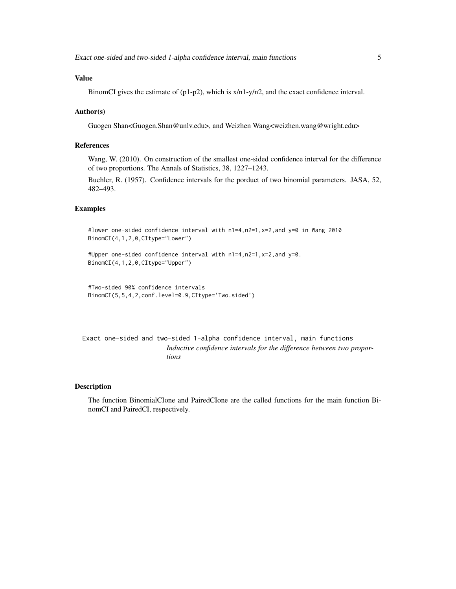#### <span id="page-4-0"></span>Value

BinomCI gives the estimate of  $(p1-p2)$ , which is  $x/n1-y/n2$ , and the exact confidence interval.

#### Author(s)

Guogen Shan<Guogen.Shan@unlv.edu>, and Weizhen Wang<weizhen.wang@wright.edu>

#### References

Wang, W. (2010). On construction of the smallest one-sided confidence interval for the difference of two proportions. The Annals of Statistics, 38, 1227–1243.

Buehler, R. (1957). Confidence intervals for the porduct of two binomial parameters. JASA, 52, 482–493.

#### Examples

```
#lower one-sided confidence interval with n1=4,n2=1,x=2,and y=0 in Wang 2010
BinomCI(4,1,2,0,CItype="Lower")
```
#Upper one-sided confidence interval with n1=4,n2=1,x=2,and y=0. BinomCI(4,1,2,0,CItype="Upper")

```
#Two-sided 90% confidence intervals
BinomCI(5,5,4,2,conf.level=0.9,CItype='Two.sided')
```
Exact one-sided and two-sided 1-alpha confidence interval, main functions *Inductive confidence intervals for the difference between two proportions*

#### Description

The function BinomialCIone and PairedCIone are the called functions for the main function BinomCI and PairedCI, respectively.